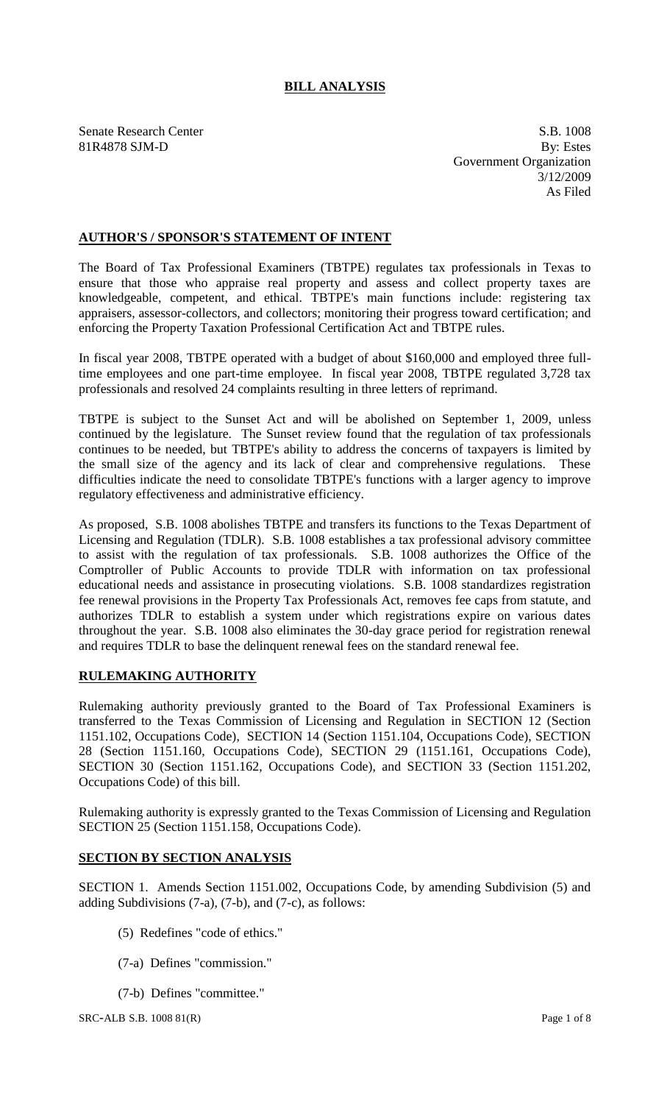# **BILL ANALYSIS**

Senate Research Center S.B. 1008 81R4878 SJM-D By: Estes Government Organization 3/12/2009 As Filed

## **AUTHOR'S / SPONSOR'S STATEMENT OF INTENT**

The Board of Tax Professional Examiners (TBTPE) regulates tax professionals in Texas to ensure that those who appraise real property and assess and collect property taxes are knowledgeable, competent, and ethical. TBTPE's main functions include: registering tax appraisers, assessor-collectors, and collectors; monitoring their progress toward certification; and enforcing the Property Taxation Professional Certification Act and TBTPE rules.

In fiscal year 2008, TBTPE operated with a budget of about \$160,000 and employed three fulltime employees and one part-time employee. In fiscal year 2008, TBTPE regulated 3,728 tax professionals and resolved 24 complaints resulting in three letters of reprimand.

TBTPE is subject to the Sunset Act and will be abolished on September 1, 2009, unless continued by the legislature. The Sunset review found that the regulation of tax professionals continues to be needed, but TBTPE's ability to address the concerns of taxpayers is limited by the small size of the agency and its lack of clear and comprehensive regulations. These difficulties indicate the need to consolidate TBTPE's functions with a larger agency to improve regulatory effectiveness and administrative efficiency.

As proposed, S.B. 1008 abolishes TBTPE and transfers its functions to the Texas Department of Licensing and Regulation (TDLR). S.B. 1008 establishes a tax professional advisory committee to assist with the regulation of tax professionals. S.B. 1008 authorizes the Office of the Comptroller of Public Accounts to provide TDLR with information on tax professional educational needs and assistance in prosecuting violations. S.B. 1008 standardizes registration fee renewal provisions in the Property Tax Professionals Act, removes fee caps from statute, and authorizes TDLR to establish a system under which registrations expire on various dates throughout the year. S.B. 1008 also eliminates the 30-day grace period for registration renewal and requires TDLR to base the delinquent renewal fees on the standard renewal fee.

### **RULEMAKING AUTHORITY**

Rulemaking authority previously granted to the Board of Tax Professional Examiners is transferred to the Texas Commission of Licensing and Regulation in SECTION 12 (Section 1151.102, Occupations Code), SECTION 14 (Section 1151.104, Occupations Code), SECTION 28 (Section 1151.160, Occupations Code), SECTION 29 (1151.161, Occupations Code), SECTION 30 (Section 1151.162, Occupations Code), and SECTION 33 (Section 1151.202, Occupations Code) of this bill.

Rulemaking authority is expressly granted to the Texas Commission of Licensing and Regulation SECTION 25 (Section 1151.158, Occupations Code).

### **SECTION BY SECTION ANALYSIS**

SECTION 1. Amends Section 1151.002, Occupations Code, by amending Subdivision (5) and adding Subdivisions (7-a), (7-b), and (7-c), as follows:

- (5) Redefines "code of ethics."
- (7-a) Defines "commission."
- (7-b) Defines "committee."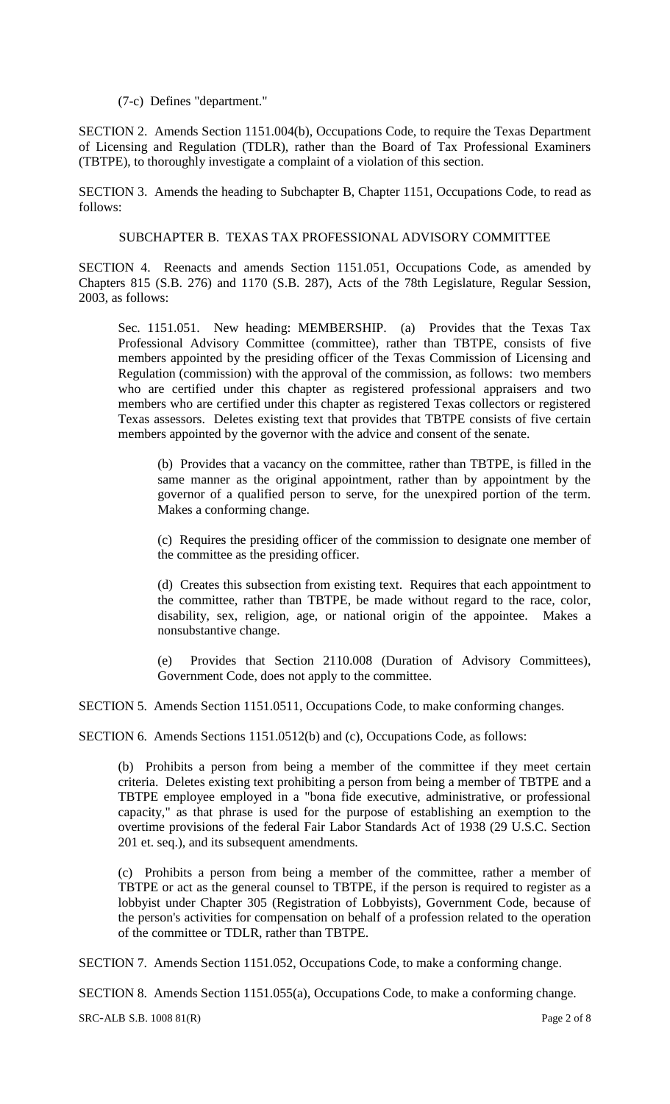(7-c) Defines "department."

SECTION 2. Amends Section 1151.004(b), Occupations Code, to require the Texas Department of Licensing and Regulation (TDLR), rather than the Board of Tax Professional Examiners (TBTPE), to thoroughly investigate a complaint of a violation of this section.

SECTION 3. Amends the heading to Subchapter B, Chapter 1151, Occupations Code, to read as follows:

SUBCHAPTER B. TEXAS TAX PROFESSIONAL ADVISORY COMMITTEE

SECTION 4. Reenacts and amends Section 1151.051, Occupations Code, as amended by Chapters 815 (S.B. 276) and 1170 (S.B. 287), Acts of the 78th Legislature, Regular Session, 2003, as follows:

Sec. 1151.051. New heading: MEMBERSHIP. (a) Provides that the Texas Tax Professional Advisory Committee (committee), rather than TBTPE, consists of five members appointed by the presiding officer of the Texas Commission of Licensing and Regulation (commission) with the approval of the commission, as follows: two members who are certified under this chapter as registered professional appraisers and two members who are certified under this chapter as registered Texas collectors or registered Texas assessors. Deletes existing text that provides that TBTPE consists of five certain members appointed by the governor with the advice and consent of the senate.

(b) Provides that a vacancy on the committee, rather than TBTPE, is filled in the same manner as the original appointment, rather than by appointment by the governor of a qualified person to serve, for the unexpired portion of the term. Makes a conforming change.

(c) Requires the presiding officer of the commission to designate one member of the committee as the presiding officer.

(d) Creates this subsection from existing text. Requires that each appointment to the committee, rather than TBTPE, be made without regard to the race, color, disability, sex, religion, age, or national origin of the appointee. Makes a nonsubstantive change.

(e) Provides that Section 2110.008 (Duration of Advisory Committees), Government Code, does not apply to the committee.

SECTION 5. Amends Section 1151.0511, Occupations Code, to make conforming changes.

SECTION 6. Amends Sections 1151.0512(b) and (c), Occupations Code, as follows:

(b) Prohibits a person from being a member of the committee if they meet certain criteria. Deletes existing text prohibiting a person from being a member of TBTPE and a TBTPE employee employed in a "bona fide executive, administrative, or professional capacity," as that phrase is used for the purpose of establishing an exemption to the overtime provisions of the federal Fair Labor Standards Act of 1938 (29 U.S.C. Section 201 et. seq.), and its subsequent amendments.

(c) Prohibits a person from being a member of the committee, rather a member of TBTPE or act as the general counsel to TBTPE, if the person is required to register as a lobbyist under Chapter 305 (Registration of Lobbyists), Government Code, because of the person's activities for compensation on behalf of a profession related to the operation of the committee or TDLR, rather than TBTPE.

SECTION 7. Amends Section 1151.052, Occupations Code, to make a conforming change.

SECTION 8. Amends Section 1151.055(a), Occupations Code, to make a conforming change.

SRC-ALB S.B. 1008 81(R) Page 2 of 8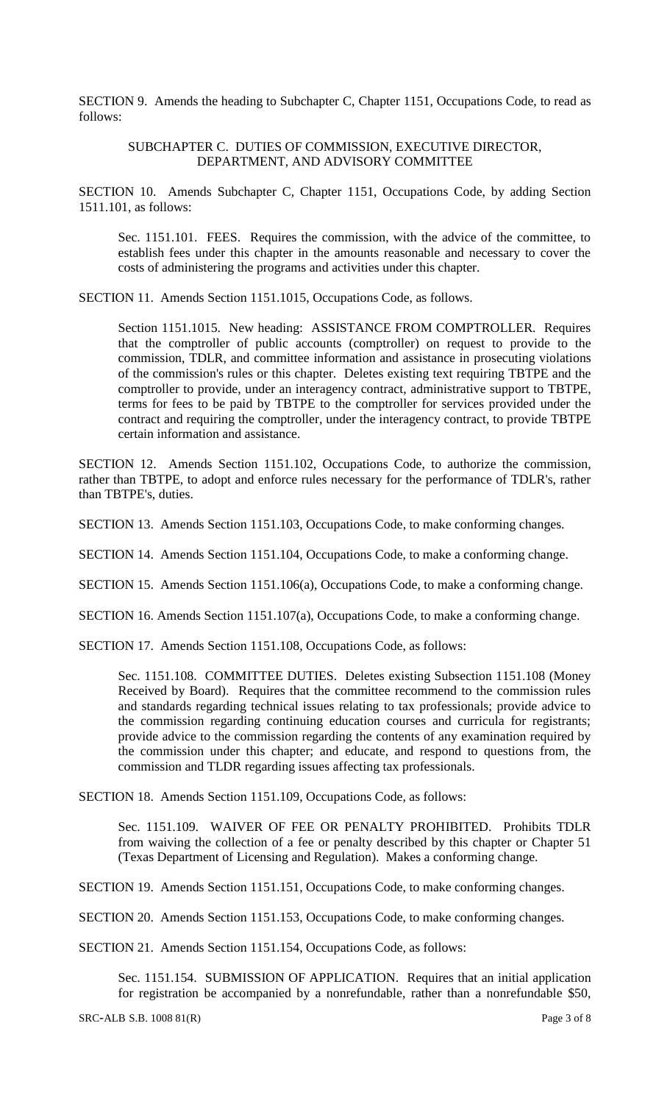SECTION 9. Amends the heading to Subchapter C, Chapter 1151, Occupations Code, to read as follows:

#### SUBCHAPTER C. DUTIES OF COMMISSION, EXECUTIVE DIRECTOR, DEPARTMENT, AND ADVISORY COMMITTEE

SECTION 10. Amends Subchapter C, Chapter 1151, Occupations Code, by adding Section 1511.101, as follows:

Sec. 1151.101. FEES. Requires the commission, with the advice of the committee, to establish fees under this chapter in the amounts reasonable and necessary to cover the costs of administering the programs and activities under this chapter.

SECTION 11. Amends Section 1151.1015, Occupations Code, as follows.

Section 1151.1015. New heading: ASSISTANCE FROM COMPTROLLER. Requires that the comptroller of public accounts (comptroller) on request to provide to the commission, TDLR, and committee information and assistance in prosecuting violations of the commission's rules or this chapter. Deletes existing text requiring TBTPE and the comptroller to provide, under an interagency contract, administrative support to TBTPE, terms for fees to be paid by TBTPE to the comptroller for services provided under the contract and requiring the comptroller, under the interagency contract, to provide TBTPE certain information and assistance.

SECTION 12. Amends Section 1151.102, Occupations Code, to authorize the commission, rather than TBTPE, to adopt and enforce rules necessary for the performance of TDLR's, rather than TBTPE's, duties.

SECTION 13. Amends Section 1151.103, Occupations Code, to make conforming changes.

SECTION 14. Amends Section 1151.104, Occupations Code, to make a conforming change.

SECTION 15. Amends Section 1151.106(a), Occupations Code, to make a conforming change.

SECTION 16. Amends Section 1151.107(a), Occupations Code, to make a conforming change.

SECTION 17. Amends Section 1151.108, Occupations Code, as follows:

Sec. 1151.108. COMMITTEE DUTIES. Deletes existing Subsection 1151.108 (Money Received by Board). Requires that the committee recommend to the commission rules and standards regarding technical issues relating to tax professionals; provide advice to the commission regarding continuing education courses and curricula for registrants; provide advice to the commission regarding the contents of any examination required by the commission under this chapter; and educate, and respond to questions from, the commission and TLDR regarding issues affecting tax professionals.

SECTION 18. Amends Section 1151.109, Occupations Code, as follows:

Sec. 1151.109. WAIVER OF FEE OR PENALTY PROHIBITED. Prohibits TDLR from waiving the collection of a fee or penalty described by this chapter or Chapter 51 (Texas Department of Licensing and Regulation). Makes a conforming change.

SECTION 19. Amends Section 1151.151, Occupations Code, to make conforming changes.

SECTION 20. Amends Section 1151.153, Occupations Code, to make conforming changes.

SECTION 21. Amends Section 1151.154, Occupations Code, as follows:

Sec. 1151.154. SUBMISSION OF APPLICATION. Requires that an initial application for registration be accompanied by a nonrefundable, rather than a nonrefundable \$50,

SRC-ALB S.B. 1008 81(R) Page 3 of 8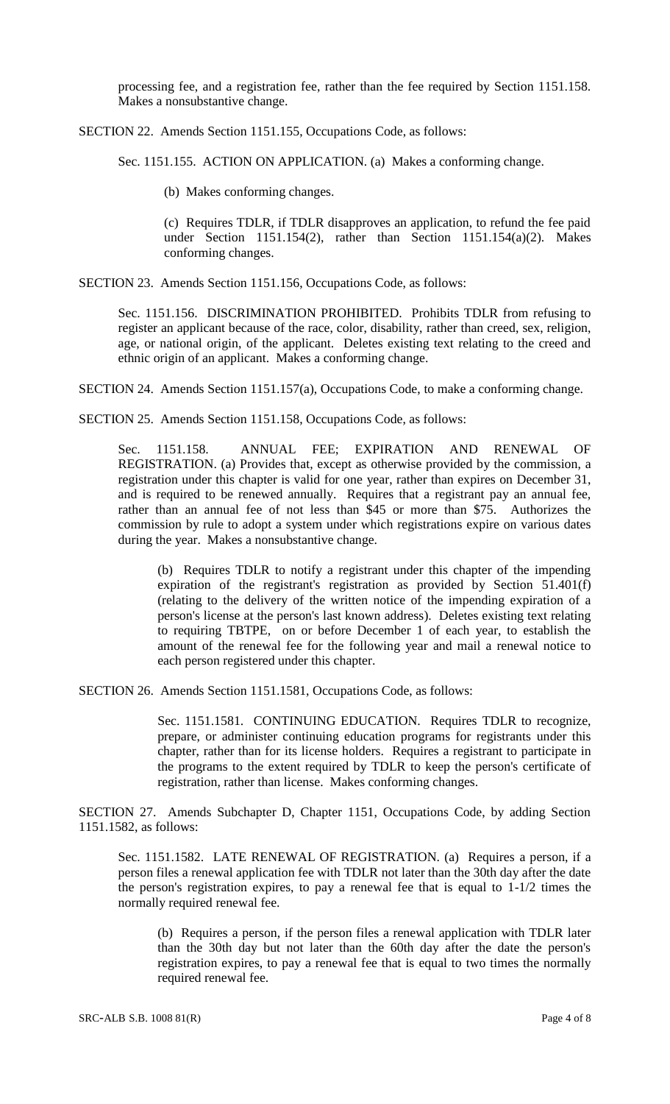processing fee, and a registration fee, rather than the fee required by Section 1151.158. Makes a nonsubstantive change.

SECTION 22. Amends Section 1151.155, Occupations Code, as follows:

Sec. 1151.155. ACTION ON APPLICATION. (a) Makes a conforming change.

(b) Makes conforming changes.

(c) Requires TDLR, if TDLR disapproves an application, to refund the fee paid under Section 1151.154(2), rather than Section 1151.154(a)(2). Makes conforming changes.

SECTION 23. Amends Section 1151.156, Occupations Code, as follows:

Sec. 1151.156. DISCRIMINATION PROHIBITED. Prohibits TDLR from refusing to register an applicant because of the race, color, disability, rather than creed, sex, religion, age, or national origin, of the applicant. Deletes existing text relating to the creed and ethnic origin of an applicant. Makes a conforming change.

SECTION 24. Amends Section 1151.157(a), Occupations Code, to make a conforming change.

SECTION 25. Amends Section 1151.158, Occupations Code, as follows:

Sec. 1151.158. ANNUAL FEE; EXPIRATION AND RENEWAL OF REGISTRATION. (a) Provides that, except as otherwise provided by the commission, a registration under this chapter is valid for one year, rather than expires on December 31, and is required to be renewed annually. Requires that a registrant pay an annual fee, rather than an annual fee of not less than \$45 or more than \$75. Authorizes the commission by rule to adopt a system under which registrations expire on various dates during the year. Makes a nonsubstantive change.

(b) Requires TDLR to notify a registrant under this chapter of the impending expiration of the registrant's registration as provided by Section 51.401(f) (relating to the delivery of the written notice of the impending expiration of a person's license at the person's last known address). Deletes existing text relating to requiring TBTPE, on or before December 1 of each year, to establish the amount of the renewal fee for the following year and mail a renewal notice to each person registered under this chapter.

SECTION 26. Amends Section 1151.1581, Occupations Code, as follows:

Sec. 1151.1581. CONTINUING EDUCATION. Requires TDLR to recognize, prepare, or administer continuing education programs for registrants under this chapter, rather than for its license holders. Requires a registrant to participate in the programs to the extent required by TDLR to keep the person's certificate of registration, rather than license. Makes conforming changes.

SECTION 27. Amends Subchapter D, Chapter 1151, Occupations Code, by adding Section 1151.1582, as follows:

Sec. 1151.1582. LATE RENEWAL OF REGISTRATION. (a) Requires a person, if a person files a renewal application fee with TDLR not later than the 30th day after the date the person's registration expires, to pay a renewal fee that is equal to 1-1/2 times the normally required renewal fee.

(b) Requires a person, if the person files a renewal application with TDLR later than the 30th day but not later than the 60th day after the date the person's registration expires, to pay a renewal fee that is equal to two times the normally required renewal fee.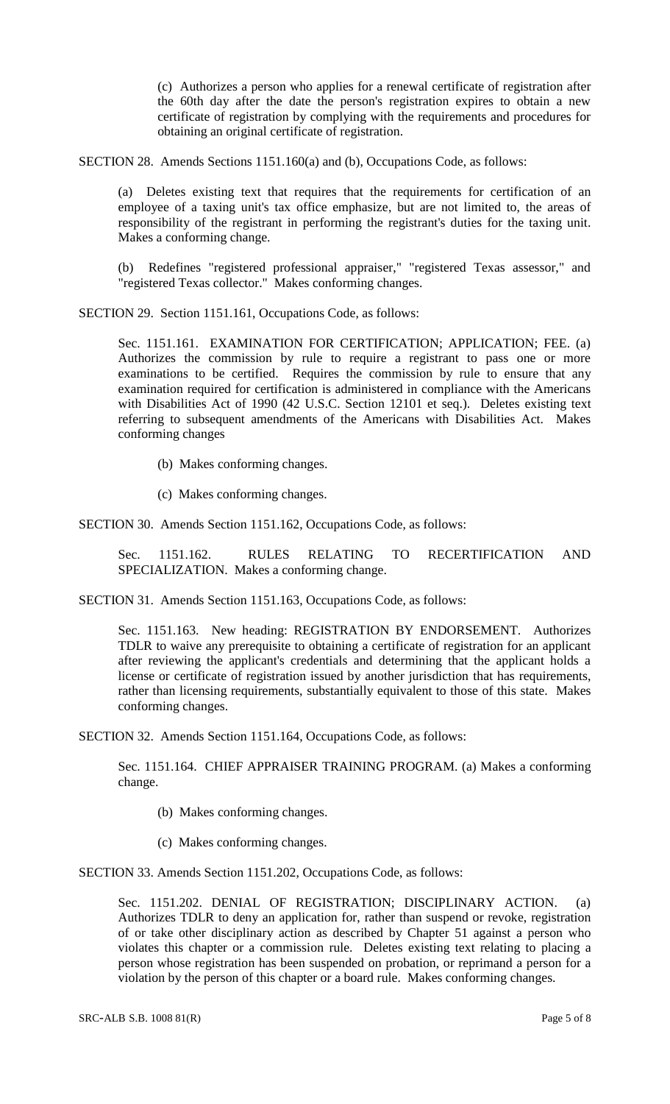(c) Authorizes a person who applies for a renewal certificate of registration after the 60th day after the date the person's registration expires to obtain a new certificate of registration by complying with the requirements and procedures for obtaining an original certificate of registration.

SECTION 28. Amends Sections 1151.160(a) and (b), Occupations Code, as follows:

(a) Deletes existing text that requires that the requirements for certification of an employee of a taxing unit's tax office emphasize, but are not limited to, the areas of responsibility of the registrant in performing the registrant's duties for the taxing unit. Makes a conforming change.

(b) Redefines "registered professional appraiser," "registered Texas assessor," and "registered Texas collector." Makes conforming changes.

SECTION 29. Section 1151.161, Occupations Code, as follows:

Sec. 1151.161. EXAMINATION FOR CERTIFICATION; APPLICATION; FEE. (a) Authorizes the commission by rule to require a registrant to pass one or more examinations to be certified. Requires the commission by rule to ensure that any examination required for certification is administered in compliance with the Americans with Disabilities Act of 1990 (42 U.S.C. Section 12101 et seq.). Deletes existing text referring to subsequent amendments of the Americans with Disabilities Act. Makes conforming changes

(b) Makes conforming changes.

(c) Makes conforming changes.

SECTION 30. Amends Section 1151.162, Occupations Code, as follows:

Sec. 1151.162. RULES RELATING TO RECERTIFICATION AND SPECIALIZATION. Makes a conforming change.

SECTION 31. Amends Section 1151.163, Occupations Code, as follows:

Sec. 1151.163. New heading: REGISTRATION BY ENDORSEMENT. Authorizes TDLR to waive any prerequisite to obtaining a certificate of registration for an applicant after reviewing the applicant's credentials and determining that the applicant holds a license or certificate of registration issued by another jurisdiction that has requirements, rather than licensing requirements, substantially equivalent to those of this state. Makes conforming changes.

SECTION 32. Amends Section 1151.164, Occupations Code, as follows:

Sec. 1151.164. CHIEF APPRAISER TRAINING PROGRAM. (a) Makes a conforming change.

(b) Makes conforming changes.

(c) Makes conforming changes.

SECTION 33. Amends Section 1151.202, Occupations Code, as follows:

Sec. 1151.202. DENIAL OF REGISTRATION; DISCIPLINARY ACTION. (a) Authorizes TDLR to deny an application for, rather than suspend or revoke, registration of or take other disciplinary action as described by Chapter 51 against a person who violates this chapter or a commission rule. Deletes existing text relating to placing a person whose registration has been suspended on probation, or reprimand a person for a violation by the person of this chapter or a board rule. Makes conforming changes.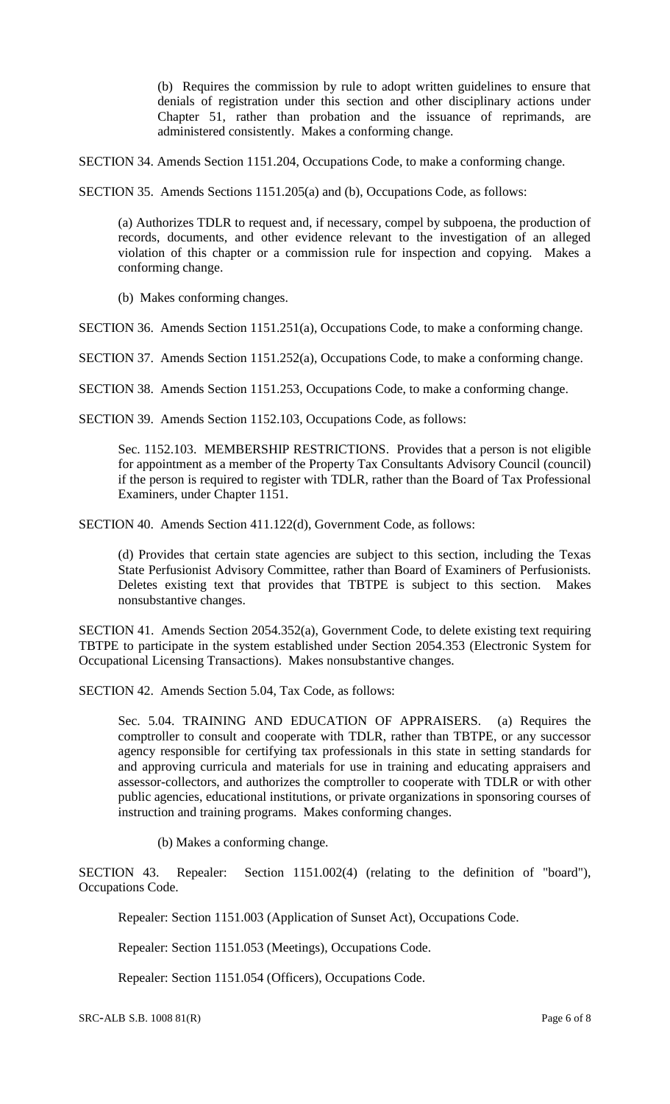(b) Requires the commission by rule to adopt written guidelines to ensure that denials of registration under this section and other disciplinary actions under Chapter 51, rather than probation and the issuance of reprimands, are administered consistently. Makes a conforming change.

SECTION 34. Amends Section 1151.204, Occupations Code, to make a conforming change.

SECTION 35. Amends Sections 1151.205(a) and (b), Occupations Code, as follows:

(a) Authorizes TDLR to request and, if necessary, compel by subpoena, the production of records, documents, and other evidence relevant to the investigation of an alleged violation of this chapter or a commission rule for inspection and copying. Makes a conforming change.

(b) Makes conforming changes.

SECTION 36. Amends Section 1151.251(a), Occupations Code, to make a conforming change.

SECTION 37. Amends Section 1151.252(a), Occupations Code, to make a conforming change.

SECTION 38. Amends Section 1151.253, Occupations Code, to make a conforming change.

SECTION 39. Amends Section 1152.103, Occupations Code, as follows:

Sec. 1152.103. MEMBERSHIP RESTRICTIONS. Provides that a person is not eligible for appointment as a member of the Property Tax Consultants Advisory Council (council) if the person is required to register with TDLR, rather than the Board of Tax Professional Examiners, under Chapter 1151.

SECTION 40. Amends Section 411.122(d), Government Code, as follows:

(d) Provides that certain state agencies are subject to this section, including the Texas State Perfusionist Advisory Committee, rather than Board of Examiners of Perfusionists. Deletes existing text that provides that TBTPE is subject to this section. Makes nonsubstantive changes.

SECTION 41. Amends Section 2054.352(a), Government Code, to delete existing text requiring TBTPE to participate in the system established under Section 2054.353 (Electronic System for Occupational Licensing Transactions). Makes nonsubstantive changes.

SECTION 42. Amends Section 5.04, Tax Code, as follows:

Sec. 5.04. TRAINING AND EDUCATION OF APPRAISERS. (a) Requires the comptroller to consult and cooperate with TDLR, rather than TBTPE, or any successor agency responsible for certifying tax professionals in this state in setting standards for and approving curricula and materials for use in training and educating appraisers and assessor-collectors, and authorizes the comptroller to cooperate with TDLR or with other public agencies, educational institutions, or private organizations in sponsoring courses of instruction and training programs. Makes conforming changes.

(b) Makes a conforming change.

SECTION 43. Repealer: Section 1151.002(4) (relating to the definition of "board"), Occupations Code.

Repealer: Section 1151.003 (Application of Sunset Act), Occupations Code.

Repealer: Section 1151.053 (Meetings), Occupations Code.

Repealer: Section 1151.054 (Officers), Occupations Code.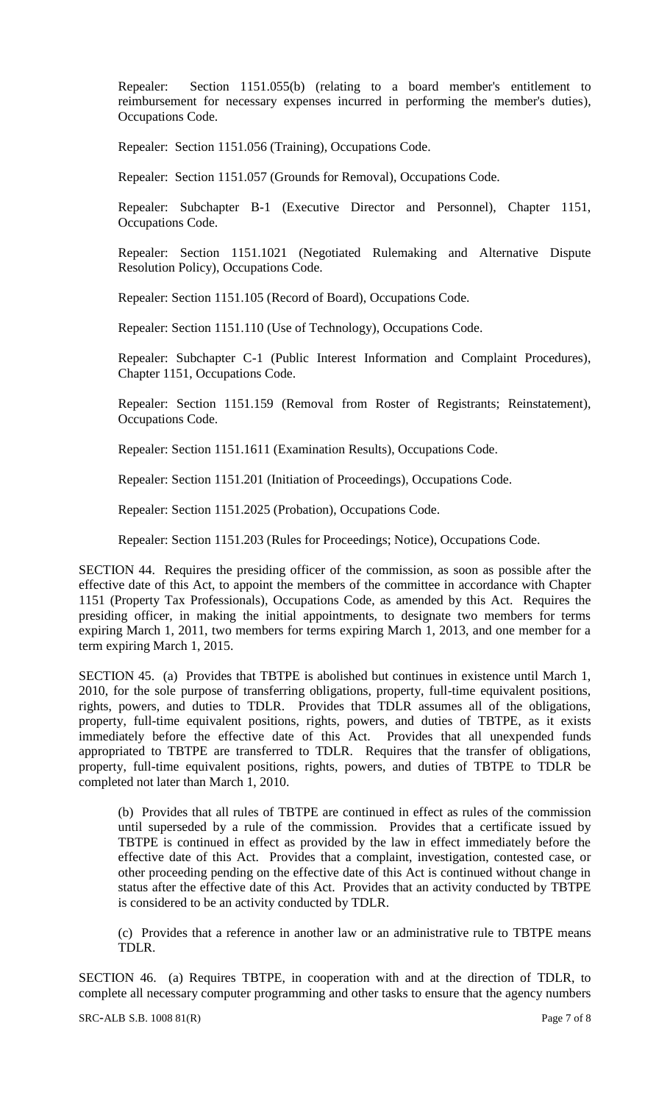Repealer: Section 1151.055(b) (relating to a board member's entitlement to reimbursement for necessary expenses incurred in performing the member's duties), Occupations Code.

Repealer: Section 1151.056 (Training), Occupations Code.

Repealer: Section 1151.057 (Grounds for Removal), Occupations Code.

Repealer: Subchapter B-1 (Executive Director and Personnel), Chapter 1151, Occupations Code.

Repealer: Section 1151.1021 (Negotiated Rulemaking and Alternative Dispute Resolution Policy), Occupations Code.

Repealer: Section 1151.105 (Record of Board), Occupations Code.

Repealer: Section 1151.110 (Use of Technology), Occupations Code.

Repealer: Subchapter C-1 (Public Interest Information and Complaint Procedures), Chapter 1151, Occupations Code.

Repealer: Section 1151.159 (Removal from Roster of Registrants; Reinstatement), Occupations Code.

Repealer: Section 1151.1611 (Examination Results), Occupations Code.

Repealer: Section 1151.201 (Initiation of Proceedings), Occupations Code.

Repealer: Section 1151.2025 (Probation), Occupations Code.

Repealer: Section 1151.203 (Rules for Proceedings; Notice), Occupations Code.

SECTION 44. Requires the presiding officer of the commission, as soon as possible after the effective date of this Act, to appoint the members of the committee in accordance with Chapter 1151 (Property Tax Professionals), Occupations Code, as amended by this Act. Requires the presiding officer, in making the initial appointments, to designate two members for terms expiring March 1, 2011, two members for terms expiring March 1, 2013, and one member for a term expiring March 1, 2015.

SECTION 45. (a) Provides that TBTPE is abolished but continues in existence until March 1, 2010, for the sole purpose of transferring obligations, property, full-time equivalent positions, rights, powers, and duties to TDLR. Provides that TDLR assumes all of the obligations, property, full-time equivalent positions, rights, powers, and duties of TBTPE, as it exists immediately before the effective date of this Act. Provides that all unexpended funds appropriated to TBTPE are transferred to TDLR. Requires that the transfer of obligations, property, full-time equivalent positions, rights, powers, and duties of TBTPE to TDLR be completed not later than March 1, 2010.

(b) Provides that all rules of TBTPE are continued in effect as rules of the commission until superseded by a rule of the commission. Provides that a certificate issued by TBTPE is continued in effect as provided by the law in effect immediately before the effective date of this Act. Provides that a complaint, investigation, contested case, or other proceeding pending on the effective date of this Act is continued without change in status after the effective date of this Act. Provides that an activity conducted by TBTPE is considered to be an activity conducted by TDLR.

(c) Provides that a reference in another law or an administrative rule to TBTPE means TDLR.

SECTION 46. (a) Requires TBTPE, in cooperation with and at the direction of TDLR, to complete all necessary computer programming and other tasks to ensure that the agency numbers